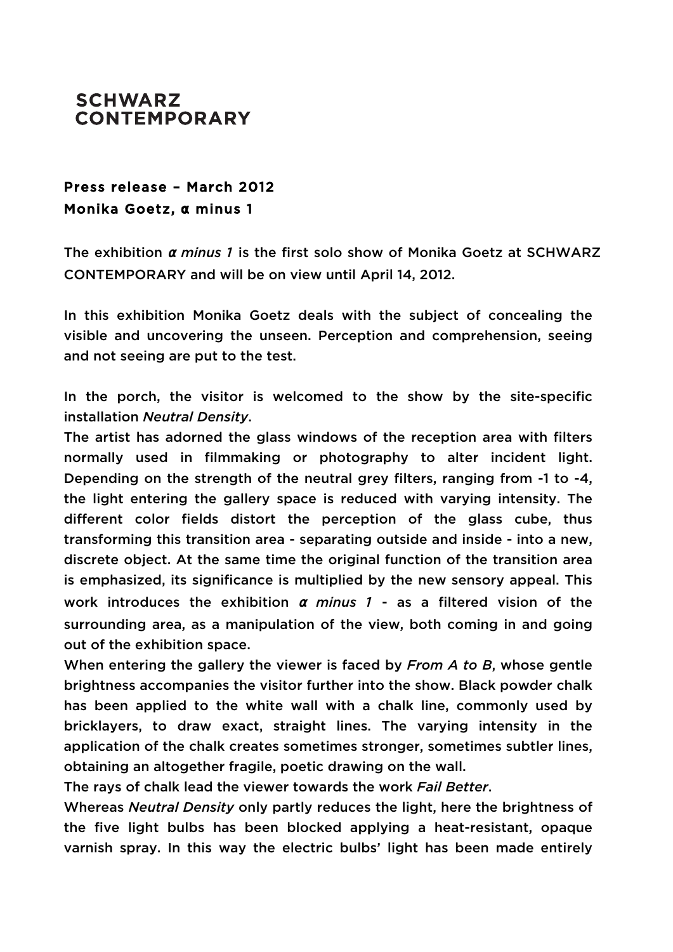

## Press release – March 2012 Monika Goetz, **α** minus 1

The exhibition **<sup>α</sup>** *minus 1* is the first solo show of Monika Goetz at SCHWARZ CONTEMPORARY and will be on view until April 14, 2012.

In this exhibition Monika Goetz deals with the subject of concealing the visible and uncovering the unseen. Perception and comprehension, seeing and not seeing are put to the test.

In the porch, the visitor is welcomed to the show by the site-specific installation *Neutral Density*.

The artist has adorned the glass windows of the reception area with filters normally used in filmmaking or photography to alter incident light. Depending on the strength of the neutral grey filters, ranging from -1 to -4, the light entering the gallery space is reduced with varying intensity. The different color fields distort the perception of the glass cube, thus transforming this transition area - separating outside and inside - into a new, discrete object. At the same time the original function of the transition area is emphasized, its significance is multiplied by the new sensory appeal. This work introduces the exhibition **<sup>α</sup>** *minus 1* - as a filtered vision of the surrounding area, as a manipulation of the view, both coming in and going out of the exhibition space.

When entering the gallery the viewer is faced by *From A to B*, whose gentle brightness accompanies the visitor further into the show. Black powder chalk has been applied to the white wall with a chalk line, commonly used by bricklayers, to draw exact, straight lines. The varying intensity in the application of the chalk creates sometimes stronger, sometimes subtler lines, obtaining an altogether fragile, poetic drawing on the wall.

The rays of chalk lead the viewer towards the work *Fail Better*.

Whereas *Neutral Density* only partly reduces the light, here the brightness of the five light bulbs has been blocked applying a heat-resistant, opaque varnish spray. In this way the electric bulbs' light has been made entirely